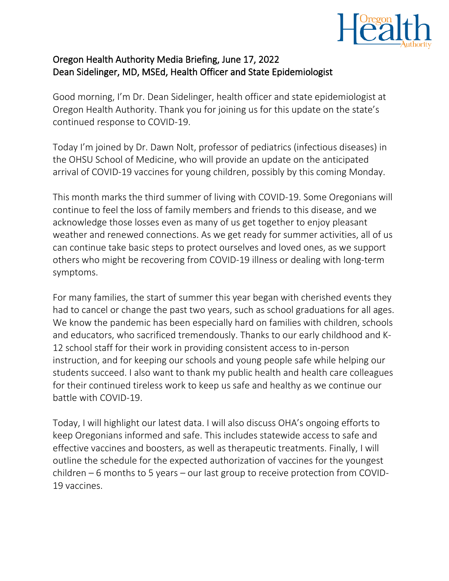

## Oregon Health Authority Media Briefing, June 17, 2022 Dean Sidelinger, MD, MSEd, Health Officer and State Epidemiologist

Good morning, I'm Dr. Dean Sidelinger, health officer and state epidemiologist at Oregon Health Authority. Thank you for joining us for this update on the state's continued response to COVID-19.

Today I'm joined by Dr. Dawn Nolt, professor of pediatrics (infectious diseases) in the OHSU School of Medicine, who will provide an update on the anticipated arrival of COVID-19 vaccines for young children, possibly by this coming Monday.

This month marks the third summer of living with COVID-19. Some Oregonians will continue to feel the loss of family members and friends to this disease, and we acknowledge those losses even as many of us get together to enjoy pleasant weather and renewed connections. As we get ready for summer activities, all of us can continue take basic steps to protect ourselves and loved ones, as we support others who might be recovering from COVID-19 illness or dealing with long-term symptoms.

For many families, the start of summer this year began with cherished events they had to cancel or change the past two years, such as school graduations for all ages. We know the pandemic has been especially hard on families with children, schools and educators, who sacrificed tremendously. Thanks to our early childhood and K-12 school staff for their work in providing consistent access to in-person instruction, and for keeping our schools and young people safe while helping our students succeed. I also want to thank my public health and health care colleagues for their continued tireless work to keep us safe and healthy as we continue our battle with COVID-19.

Today, I will highlight our latest data. I will also discuss OHA's ongoing efforts to keep Oregonians informed and safe. This includes statewide access to safe and effective vaccines and boosters, as well as therapeutic treatments. Finally, I will outline the schedule for the expected authorization of vaccines for the youngest children – 6 months to 5 years – our last group to receive protection from COVID-19 vaccines.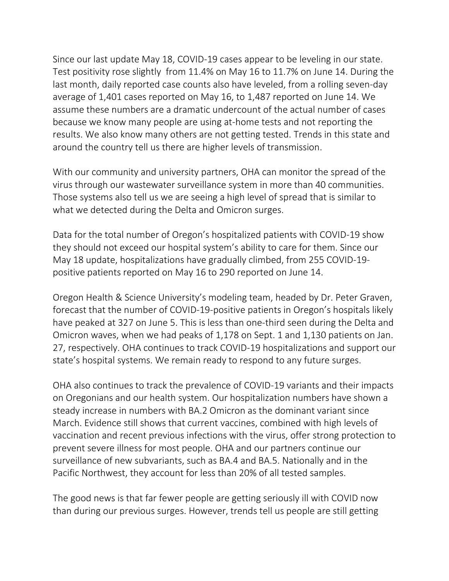Since our last update May 18, COVID-19 cases appear to be leveling in our state. Test positivity rose slightly from 11.4% on May 16 to 11.7% on June 14. During the last month, daily reported case counts also have leveled, from a rolling seven-day average of 1,401 cases reported on May 16, to 1,487 reported on June 14. We assume these numbers are a dramatic undercount of the actual number of cases because we know many people are using at-home tests and not reporting the results. We also know many others are not getting tested. Trends in this state and around the country tell us there are higher levels of transmission.

With our community and university partners, OHA can monitor the spread of the virus through our wastewater surveillance system in more than 40 communities. Those systems also tell us we are seeing a high level of spread that is similar to what we detected during the Delta and Omicron surges.

Data for the total number of Oregon's hospitalized patients with COVID-19 show they should not exceed our hospital system's ability to care for them. Since our May 18 update, hospitalizations have gradually climbed, from 255 COVID-19 positive patients reported on May 16 to 290 reported on June 14.

Oregon Health & Science University's modeling team, headed by Dr. Peter Graven, forecast that the number of COVID-19-positive patients in Oregon's hospitals likely have peaked at 327 on June 5. This is less than one-third seen during the Delta and Omicron waves, when we had peaks of 1,178 on Sept. 1 and 1,130 patients on Jan. 27, respectively. OHA continues to track COVID-19 hospitalizations and support our state's hospital systems. We remain ready to respond to any future surges.

OHA also continues to track the prevalence of COVID-19 variants and their impacts on Oregonians and our health system. Our hospitalization numbers have shown a steady increase in numbers with BA.2 Omicron as the dominant variant since March. Evidence still shows that current vaccines, combined with high levels of vaccination and recent previous infections with the virus, offer strong protection to prevent severe illness for most people. OHA and our partners continue our surveillance of new subvariants, such as BA.4 and BA.5. Nationally and in the Pacific Northwest, they account for less than 20% of all tested samples.

The good news is that far fewer people are getting seriously ill with COVID now than during our previous surges. However, trends tell us people are still getting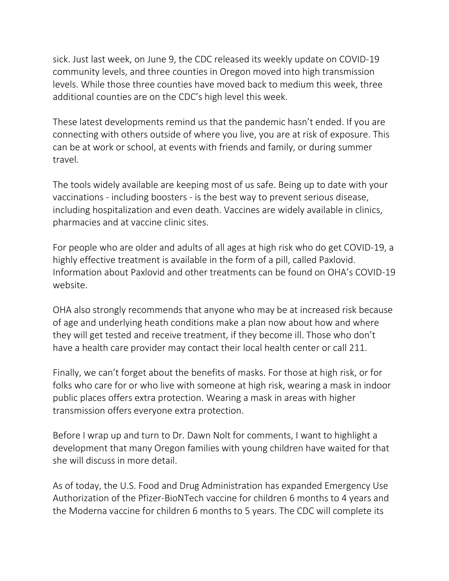sick. Just last week, on June 9, the CDC released its weekly update on COVID-19 community levels, and three counties in Oregon moved into high transmission levels. While those three counties have moved back to medium this week, three additional counties are on the CDC's high level this week.

These latest developments remind us that the pandemic hasn't ended. If you are connecting with others outside of where you live, you are at risk of exposure. This can be at work or school, at events with friends and family, or during summer travel.

The tools widely available are keeping most of us safe. Being up to date with your vaccinations - including boosters - is the best way to prevent serious disease, including hospitalization and even death. Vaccines are widely available in clinics, pharmacies and at vaccine clinic sites.

For people who are older and adults of all ages at high risk who do get COVID-19, a highly effective treatment is available in the form of a pill, called Paxlovid. Information about Paxlovid and other treatments can be found on OHA's COVID-19 website.

OHA also strongly recommends that anyone who may be at increased risk because of age and underlying heath conditions make a plan now about how and where they will get tested and receive treatment, if they become ill. Those who don't have a health care provider may contact their local health center or call 211.

Finally, we can't forget about the benefits of masks. For those at high risk, or for folks who care for or who live with someone at high risk, wearing a mask in indoor public places offers extra protection. Wearing a mask in areas with higher transmission offers everyone extra protection.

Before I wrap up and turn to Dr. Dawn Nolt for comments, I want to highlight a development that many Oregon families with young children have waited for that she will discuss in more detail.

As of today, the U.S. Food and Drug Administration has expanded Emergency Use Authorization of the Pfizer-BioNTech vaccine for children 6 months to 4 years and the Moderna vaccine for children 6 months to 5 years. The CDC will complete its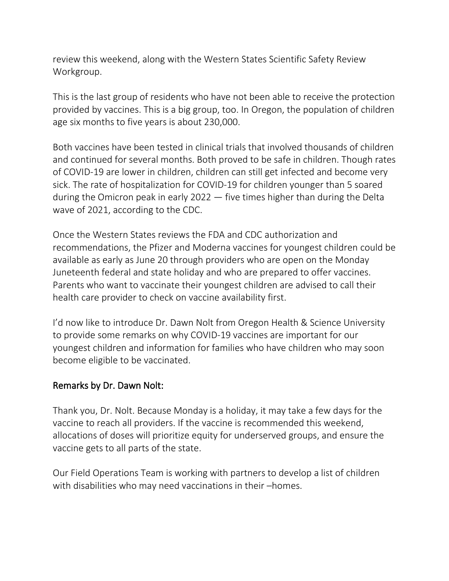review this weekend, along with the Western States Scientific Safety Review Workgroup.

This is the last group of residents who have not been able to receive the protection provided by vaccines. This is a big group, too. In Oregon, the population of children age six months to five years is about 230,000.

Both vaccines have been tested in clinical trials that involved thousands of children and continued for several months. Both proved to be safe in children. Though rates of COVID-19 are lower in children, children can still get infected and become very sick. The rate of hospitalization for COVID-19 for children younger than 5 soared during the Omicron peak in early 2022 — five times higher than during the Delta wave of 2021, according to the CDC.

Once the Western States reviews the FDA and CDC authorization and recommendations, the Pfizer and Moderna vaccines for youngest children could be available as early as June 20 through providers who are open on the Monday Juneteenth federal and state holiday and who are prepared to offer vaccines. Parents who want to vaccinate their youngest children are advised to call their health care provider to check on vaccine availability first.

I'd now like to introduce Dr. Dawn Nolt from Oregon Health & Science University to provide some remarks on why COVID-19 vaccines are important for our youngest children and information for families who have children who may soon become eligible to be vaccinated.

## Remarks by Dr. Dawn Nolt:

Thank you, Dr. Nolt. Because Monday is a holiday, it may take a few days for the vaccine to reach all providers. If the vaccine is recommended this weekend, allocations of doses will prioritize equity for underserved groups, and ensure the vaccine gets to all parts of the state.

Our Field Operations Team is working with partners to develop a list of children with disabilities who may need vaccinations in their –homes.